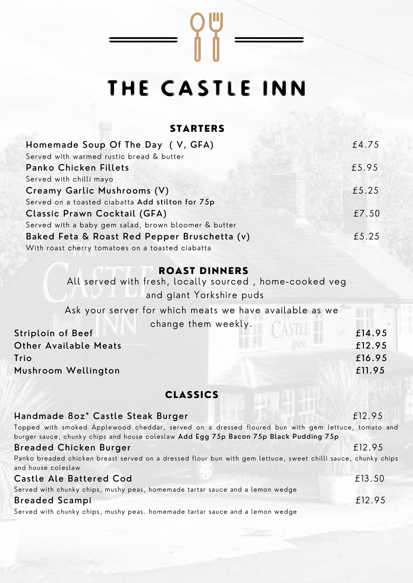# THE CASTLE INN

 $\begin{bmatrix} 0 & 1 \\ 0 & 1 \end{bmatrix}$ 

## STARTERS

| Homemade Soup Of The Day (V, GFA)                    | £4.75 |
|------------------------------------------------------|-------|
| Served with warmed rustic bread & butter             |       |
| <b>Panko Chicken Fillets</b>                         | £5.95 |
| Served with chilli mayo                              |       |
| Creamy Garlic Mushrooms (V)                          | £5.25 |
| Served on a toasted ciabatta Add stilton for 75p     |       |
| Classic Prawn Cocktail (GFA)                         | £7.50 |
| Served with a baby gem salad, brown bloomer & butter |       |
| Baked Feta & Roast Red Pepper Bruschetta (v)         | £5.25 |
| With roast cherry tomatoes on a toasted ciabatta     |       |

#### **ROAST DINNERS**

| All served with fresh, locally sourced, home-cooked veg |        |
|---------------------------------------------------------|--------|
| and giant Yorkshire puds                                |        |
| Ask your server for which meats we have available as we |        |
| change them weekly.                                     |        |
| <b>Striploin of Beef</b>                                | £14.95 |
| <b>Other Available Meats</b>                            | £12.95 |
| Trio                                                    | £16.95 |
| Mushroom Wellington                                     | £11.95 |
|                                                         |        |

## CLASSICS

| Handmade 80z* Castle Steak Burger                                                                             | £12.95 |
|---------------------------------------------------------------------------------------------------------------|--------|
| Topped with smoked Applewood cheddar, served on a dressed floured bun with gem lettuce, tomato and            |        |
| burger sauce, chunky chips and house coleslaw Add Egg 75p Bacon 75p Black Pudding 75p                         |        |
| <b>Breaded Chicken Burger</b>                                                                                 | £12.95 |
| Panko breaded chicken breast served on a dressed flour bun with gem lettuce, sweet chilli sauce, chunky chips |        |
| and house coleslaw                                                                                            |        |
| <b>Castle Ale Battered Cod</b>                                                                                | £13.50 |
| Served with chunky chips, mushy peas, homemade tartar sauce and a lemon wedge                                 |        |
| <b>Breaded Scampi</b>                                                                                         | £12.95 |
| Served with chunky chips, mushy peas. homemade tartar sauce and a lemon wedge                                 |        |